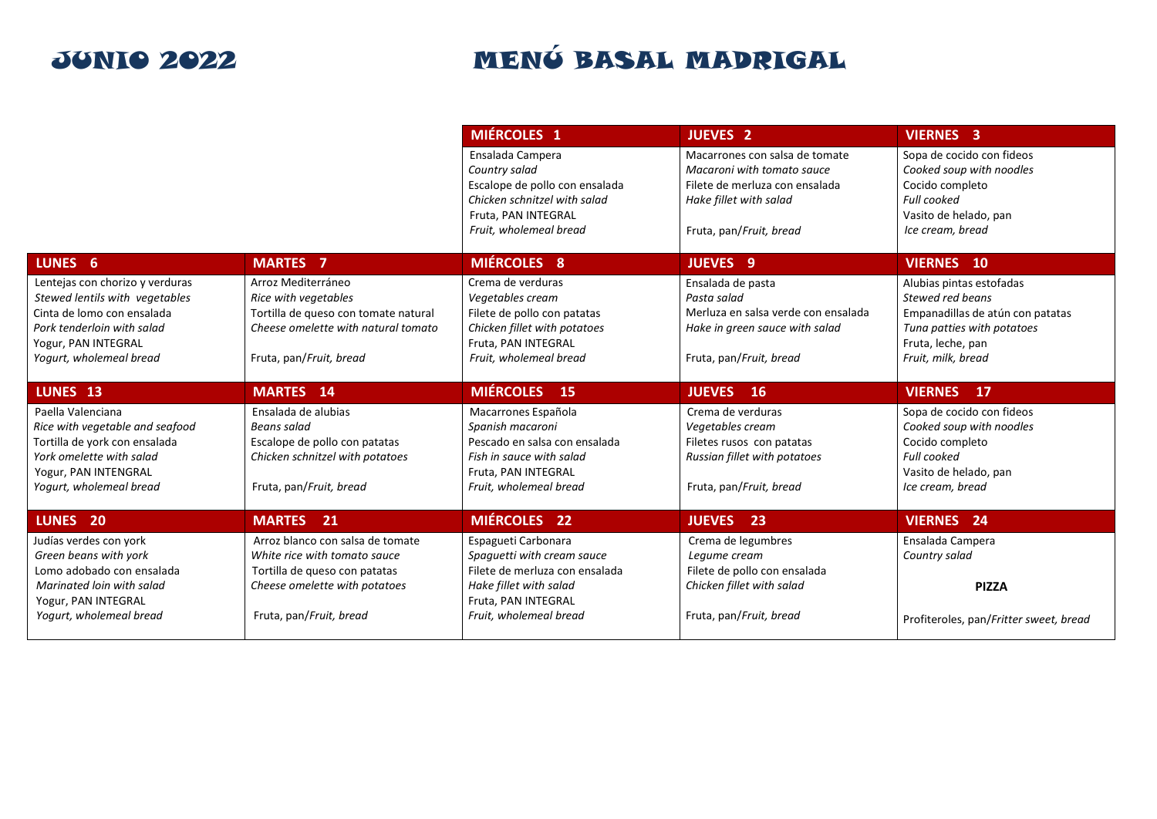|                                                                                                                                                                                                  |                                                                                                                                                                                      | <b>MENG BASAL</b><br>MADRIGAL                                                                                                                                                               | CRUSTÁCEOS<br><b>GRANOS</b><br>DE SÉSAMO                                                                                                                                        | <b>FRUTOS</b><br><b>CONTIENE</b><br><b>HUFVOS</b><br><b>DE CASCARA</b><br><b>GLUTEN</b>                                                                                       |
|--------------------------------------------------------------------------------------------------------------------------------------------------------------------------------------------------|--------------------------------------------------------------------------------------------------------------------------------------------------------------------------------------|---------------------------------------------------------------------------------------------------------------------------------------------------------------------------------------------|---------------------------------------------------------------------------------------------------------------------------------------------------------------------------------|-------------------------------------------------------------------------------------------------------------------------------------------------------------------------------|
| me n ú<br><b>JUNIO 2022</b>                                                                                                                                                                      |                                                                                                                                                                                      | <b>MIÉRCOLES 1</b><br>Ensalada Campera<br>$\bullet$ $\bullet$<br>Country salad<br>Escalope de pollo con ensalada<br>Chicken schnitzel with salad                                            | <b>MOSTAZA</b><br><b>JUEVES 2</b><br>Macarrones con salsa de tomate<br>$\bullet$<br>Macaroni with tomato sauce<br>Filete de merluza con ensalada<br>۸<br>Hake fillet with salad | <b>CACAHUETE</b><br><b>LACTEOS</b><br><b>ALTRAMUCES</b><br><b>VIERNES 3</b><br>Sopa de cocido con fideos<br>Cooked soup with noodles<br>Cocido completo<br><b>Full cooked</b> |
| LUNES 6                                                                                                                                                                                          | <b>HEF</b><br><b>MARTES 7</b>                                                                                                                                                        | Fruta, PAN INTEGRAL<br>Fruit, wholemeal bread<br><b>MIÉRCOLES 8</b>                                                                                                                         | Fruta, pan/Fruit, bread<br><b>JUEVES 9</b>                                                                                                                                      | Vasito de helado, pan<br>Ice cream, bread<br><b>VIERNES 10</b>                                                                                                                |
| Lentejas con chorizo y verduras<br>Stewed lentils with vegetables<br>Cinta de lomo con ensalada<br>Pork tenderloin with salad<br>Yogur, PAN INTEGRAL<br>Yogurt, wholemeal bread                  | Arroz Mediterráneo<br>Rice with vegetables<br>Tortilla de queso con tomate natural<br>Cheese omelette with natural tomato<br>Fruta, pan/Fruit, bread                                 | Crema de verduras<br>Vegetables cream<br>Filete de pollo con patatas<br>Chicken fillet with potatoes<br>Fruta, PAN INTEGRAL<br>Fruit, wholemeal bread                                       | Ensalada de pasta<br>Pasta salad<br>Merluza en salsa verde con ensalada<br>Hake in green sauce with salad<br>$\bullet$<br>Fruta, pan/Fruit, bread                               | Alubias pintas estofadas<br>Stewed red beans<br>Empanadillas de atún con patatas<br>Tuna patties with potatoes<br>Fruta, leche, pan<br>Fruit, milk, bread                     |
| LUNES 13<br>Paella Valenciana<br>◙<br>$\omega$<br>Rice with vegetable and seafood<br>Tortilla de york con ensalada<br>York omelette with salad<br>Yogur, PAN INTEGRAL<br>Yogurt, wholemeal bread | <b>MARTES</b> 14<br>Ensalada de alubias<br>Beans salad<br>Escalope de pollo con patatas<br>Chicken schnitzel with potatoes<br>Fruta, pan/Fruit, bread                                | <b>MIÉRCOLES</b><br><b>15</b><br>Macarrones Española<br>Spanish macaroni<br>Pescado en salsa con ensalada<br>۰<br>Fish in sauce with salad<br>Fruta. PAN INTEGRAL<br>Fruit, wholemeal bread | <b>JUEVES</b> 16<br>Crema de verduras<br>Vegetables cream<br>Filetes rusos con patatas<br>Russian fillet with potatoes<br>Fruta, pan/Fruit, bread                               | <b>VIERNES</b><br>$\overline{17}$<br>Sopa de cocido con fideos<br>Cooked soup with noodles<br>Cocido completo<br>Full cooked<br>Vasito de helado, pan<br>Ice cream, bread     |
| LUNES <sub>20</sub><br>Judías verdes con york<br>Green beans with york<br>Lomo adobado con ensalada<br>Marinated loin with salad<br>Yogur, PAN INTEGRAL<br>Yogurt, wholemeal bread               | <b>MARTES</b><br>21<br>Arroz blanco con salsa de tomate<br>White rice with tomato sauce<br>Tortilla de queso con patatas<br>Cheese omelette with potatoes<br>Fruta, pan/Fruit, bread | <b>MIÉRCOLES 22</b><br>Espagueti Carbonara<br>Spaguetti with cream sauce<br>Filete de merluza con ensalada<br>Hake fillet with salad<br>Fruta, PAN INTEGRAL<br>Fruit, wholemeal bread       | <b>JUEVES</b><br>23<br>Crema de legumbres<br>Leaume cream<br>Filete de pollo con ensalada<br>Chicken fillet with salad<br>Fruta, pan/Fruit, bread                               | <b>VIERNES 24</b><br>Ensalada Campera<br>Country salad<br><b>PIZZA</b><br>Profiteroles, pan/Fritter sweet, bread                                                              |